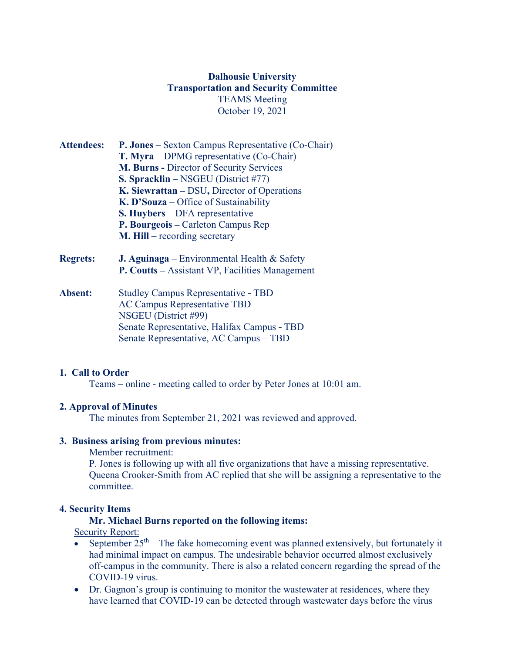## **Dalhousie University Transportation and Security Committee** TEAMS Meeting October 19, 2021

- **Attendees: P. Jones** Sexton Campus Representative (Co-Chair) **T. Myra** – DPMG representative (Co-Chair) **M. Burns -** Director of Security Services **S. Spracklin –** NSGEU (District #77) **K. Siewrattan –** DSU**,** Director of Operations **K. D'Souza** – Office of Sustainability **S. Huybers** – DFA representative **P. Bourgeois –** Carleton Campus Rep **M. Hill –** recording secretary
- **Regrets: J. Aguinaga** Environmental Health & Safety **P. Coutts –** Assistant VP, Facilities Management
- **Absent:** Studley Campus RepresentativeTBD AC Campus Representative TBD NSGEU (District #99) Senate Representative, Halifax Campus **-** TBD Senate Representative, AC Campus – TBD

### **1. Call to Order**

Teams – online - meeting called to order by Peter Jones at 10:01 am.

#### **2. Approval of Minutes**

The minutes from September 21, 2021 was reviewed and approved.

#### **3. Business arising from previous minutes:**

Member recruitment:

P. Jones is following up with all five organizations that have a missing representative. Queena Crooker-Smith from AC replied that she will be assigning a representative to the committee.

#### **4. Security Items**

#### **Mr. Michael Burns reported on the following items:**

**Security Report:** 

- September  $25<sup>th</sup>$  The fake homecoming event was planned extensively, but fortunately it had minimal impact on campus. The undesirable behavior occurred almost exclusively off-campus in the community. There is also a related concern regarding the spread of the COVID-19 virus.
- Dr. Gagnon's group is continuing to monitor the wastewater at residences, where they have learned that COVID-19 can be detected through wastewater days before the virus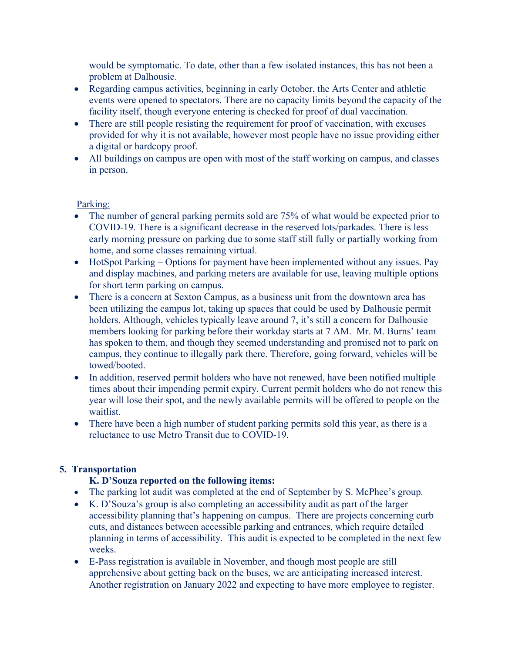would be symptomatic. To date, other than a few isolated instances, this has not been a problem at Dalhousie.

- Regarding campus activities, beginning in early October, the Arts Center and athletic events were opened to spectators. There are no capacity limits beyond the capacity of the facility itself, though everyone entering is checked for proof of dual vaccination.
- There are still people resisting the requirement for proof of vaccination, with excuses provided for why it is not available, however most people have no issue providing either a digital or hardcopy proof.
- All buildings on campus are open with most of the staff working on campus, and classes in person.

## Parking:

- The number of general parking permits sold are 75% of what would be expected prior to COVID-19. There is a significant decrease in the reserved lots/parkades. There is less early morning pressure on parking due to some staff still fully or partially working from home, and some classes remaining virtual.
- HotSpot Parking Options for payment have been implemented without any issues. Pay and display machines, and parking meters are available for use, leaving multiple options for short term parking on campus.
- There is a concern at Sexton Campus, as a business unit from the downtown area has been utilizing the campus lot, taking up spaces that could be used by Dalhousie permit holders. Although, vehicles typically leave around 7, it's still a concern for Dalhousie members looking for parking before their workday starts at 7 AM. Mr. M. Burns' team has spoken to them, and though they seemed understanding and promised not to park on campus, they continue to illegally park there. Therefore, going forward, vehicles will be towed/booted.
- In addition, reserved permit holders who have not renewed, have been notified multiple times about their impending permit expiry. Current permit holders who do not renew this year will lose their spot, and the newly available permits will be offered to people on the waitlist.
- There have been a high number of student parking permits sold this year, as there is a reluctance to use Metro Transit due to COVID-19.

# **5. Transportation**

# **K. D'Souza reported on the following items:**

- The parking lot audit was completed at the end of September by S. McPhee's group.
- K. D'Souza's group is also completing an accessibility audit as part of the larger accessibility planning that's happening on campus. There are projects concerning curb cuts, and distances between accessible parking and entrances, which require detailed planning in terms of accessibility. This audit is expected to be completed in the next few weeks.
- E-Pass registration is available in November, and though most people are still apprehensive about getting back on the buses, we are anticipating increased interest. Another registration on January 2022 and expecting to have more employee to register.